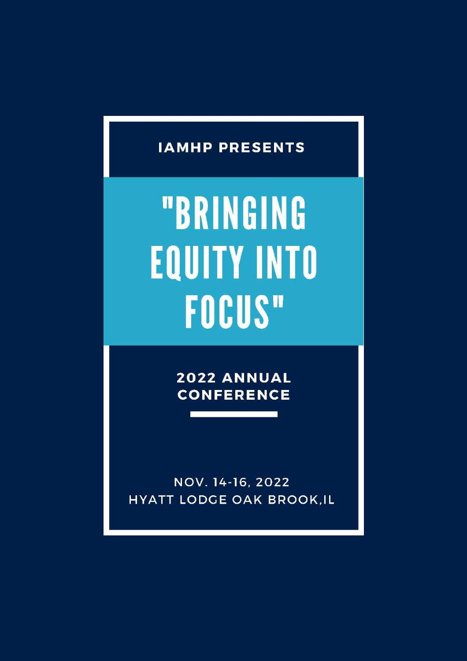## **IAMHP PRESENTS**

# "BRINGING **EQUITY INTO FOCUS"**

2022 ANNUAL **CONFERENCE** 

NOV. 14-16, 2022 **HYATT LODGE OAK BROOK, IL**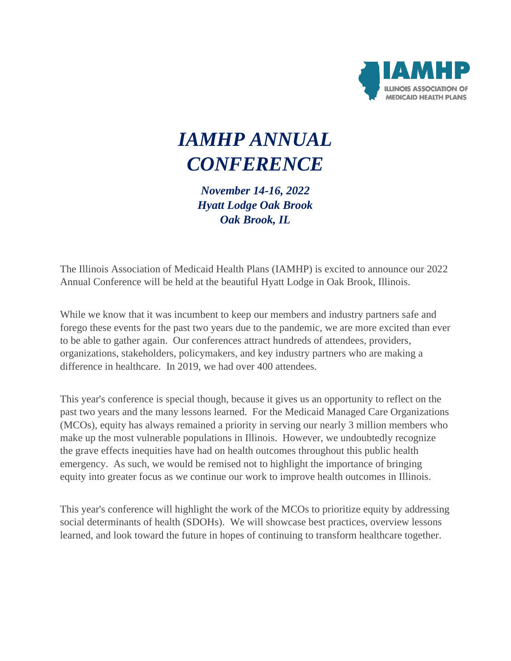

## *IAMHP ANNUAL CONFERENCE*

*November 14-16, 2022 Hyatt Lodge Oak Brook Oak Brook, IL*

The Illinois Association of Medicaid Health Plans (IAMHP) is excited to announce our 2022 Annual Conference will be held at the beautiful Hyatt Lodge in Oak Brook, Illinois.

While we know that it was incumbent to keep our members and industry partners safe and forego these events for the past two years due to the pandemic, we are more excited than ever to be able to gather again. Our conferences attract hundreds of attendees, providers, organizations, stakeholders, policymakers, and key industry partners who are making a difference in healthcare. In 2019, we had over 400 attendees.

This year's conference is special though, because it gives us an opportunity to reflect on the past two years and the many lessons learned. For the Medicaid Managed Care Organizations (MCOs), equity has always remained a priority in serving our nearly 3 million members who make up the most vulnerable populations in Illinois. However, we undoubtedly recognize the grave effects inequities have had on health outcomes throughout this public health emergency. As such, we would be remised not to highlight the importance of bringing equity into greater focus as we continue our work to improve health outcomes in Illinois.

This year's conference will highlight the work of the MCOs to prioritize equity by addressing social determinants of health (SDOHs). We will showcase best practices, overview lessons learned, and look toward the future in hopes of continuing to transform healthcare together.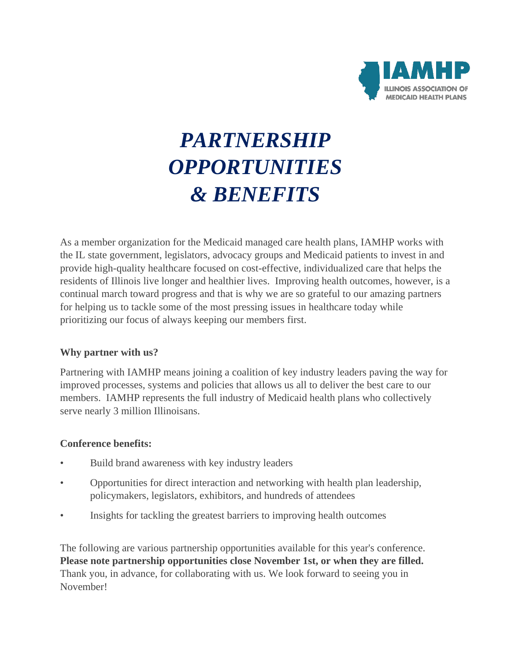

# *PARTNERSHIP OPPORTUNITIES & BENEFITS*

As a member organization for the Medicaid managed care health plans, IAMHP works with the IL state government, legislators, advocacy groups and Medicaid patients to invest in and provide high-quality healthcare focused on cost-effective, individualized care that helps the residents of Illinois live longer and healthier lives. Improving health outcomes, however, is a continual march toward progress and that is why we are so grateful to our amazing partners for helping us to tackle some of the most pressing issues in healthcare today while prioritizing our focus of always keeping our members first.

#### **Why partner with us?**

Partnering with IAMHP means joining a coalition of key industry leaders paving the way for improved processes, systems and policies that allows us all to deliver the best care to our members. IAMHP represents the full industry of Medicaid health plans who collectively serve nearly 3 million Illinoisans.

#### **Conference benefits:**

- Build brand awareness with key industry leaders
- Opportunities for direct interaction and networking with health plan leadership, policymakers, legislators, exhibitors, and hundreds of attendees
- Insights for tackling the greatest barriers to improving health outcomes

The following are various partnership opportunities available for this year's conference. **Please note partnership opportunities close November 1st, or when they are filled.**  Thank you, in advance, for collaborating with us. We look forward to seeing you in November!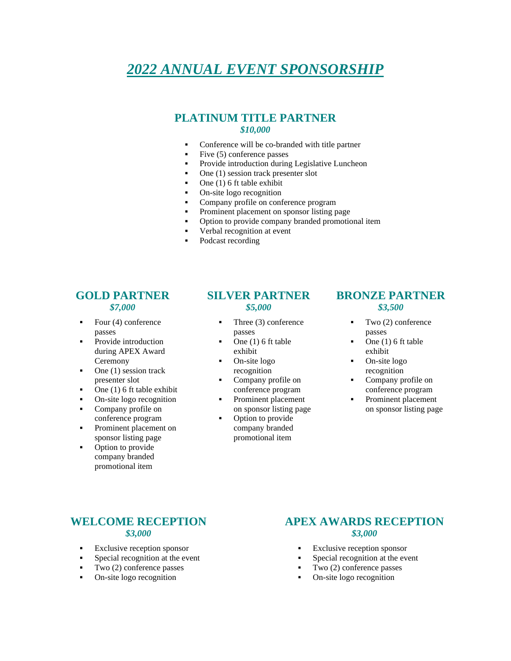### *2022 ANNUAL EVENT SPONSORSHIP*

#### **PLATINUM TITLE PARTNER** *\$10,000*

- Conference will be co-branded with title partner
- Five (5) conference passes
- **•** Provide introduction during Legislative Luncheon
- $\blacksquare$  One (1) session track presenter slot
- One (1) 6 ft table exhibit
- On-site logo recognition
- Company profile on conference program
- Prominent placement on sponsor listing page
- Option to provide company branded promotional item
- Verbal recognition at event
- Podcast recording

#### **GOLD PARTNER** *\$7,000*

- Four  $(4)$  conference passes
- Provide introduction during APEX Award Ceremony
- One (1) session track presenter slot
- One (1) 6 ft table exhibit
- On-site logo recognition
- Company profile on conference program
- Prominent placement on sponsor listing page
- Option to provide company branded promotional item

#### **SILVER PARTNER** *\$5,000*

- Three (3) conference passes
- One (1) 6 ft table exhibit
- On-site logo recognition
- Company profile on conference program
- Prominent placement on sponsor listing page
- Option to provide company branded promotional item

#### **BRONZE PARTNER** *\$3,500*

- $\blacksquare$  Two (2) conference passes
- One  $(1)$  6 ft table exhibit
- On-site logo recognition
- Company profile on conference program
- Prominent placement on sponsor listing page

#### **WELCOME RECEPTION** *\$3,000*

- **Exclusive reception sponsor**
- Special recognition at the event
- Two (2) conference passes
- On-site logo recognition

#### **APEX AWARDS RECEPTION** *\$3,000*

- **Exclusive reception sponsor**
- Special recognition at the event
- Two (2) conference passes
- On-site logo recognition